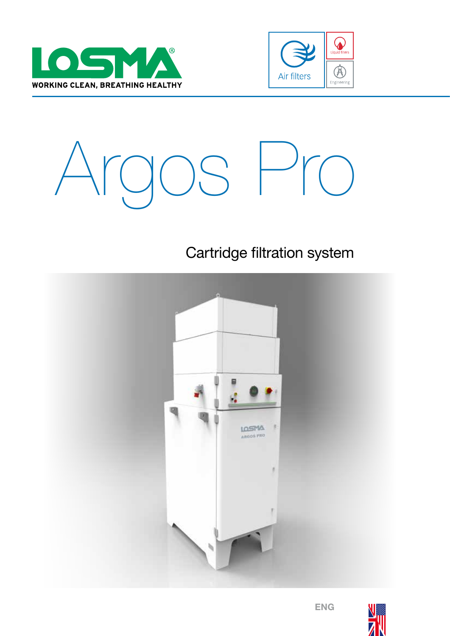





## Cartridge filtration system



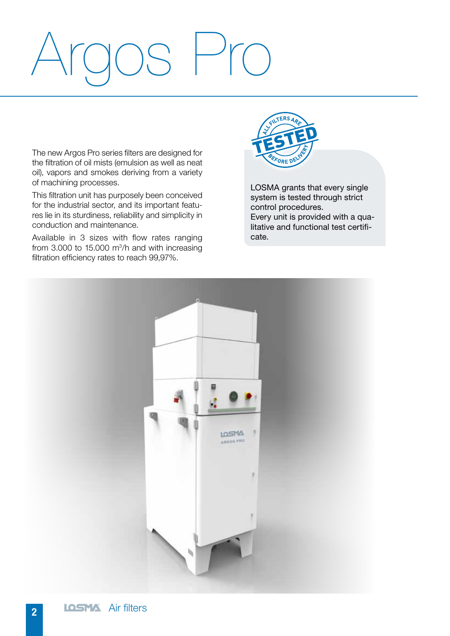# Argos Pro

The new Argos Pro series filters are designed for the filtration of oil mists (emulsion as well as neat oil), vapors and smokes deriving from a variety of machining processes.

This filtration unit has purposely been conceived for the industrial sector, and its important features lie in its sturdiness, reliability and simplicity in conduction and maintenance.

Available in 3 sizes with flow rates ranging from  $3.000$  to 15.000 m<sup>3</sup>/h and with increasing filtration efficiency rates to reach 99,97%.



LOSMA grants that every single system is tested through strict control procedures. Every unit is provided with a qualitative and functional test certificate.

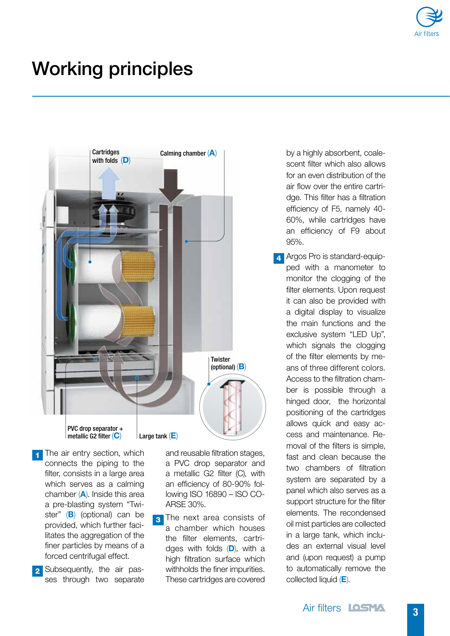

## Working principles



- 1 The air entry section, which connects the piping to the filter, consists in a large area which serves as a calming chamber  $(A)$ . Inside this area a pre-blasting system "Twister" (B) (optional) can be provided, which further facilitates the aggregation of the finer particles by means of a forced centrifugal effect.
- **2** Subsequently, the air passes through two separate

and reusable filtration stages, a PVC drop separator and a metallic G2 filter (C), with an efficiency of 80-90% following ISO 16890 – ISO CO-ARSE 30%.

3 The next area consists of a chamber which houses the filter elements, cartridges with folds  $(D)$ , with a high filtration surface which withholds the finer impurities. These cartridges are covered

by a highly absorbent, coalescent filter which also allows for an even distribution of the air flow over the entire cartridge. This filter has a filtration efficiency of F5, namely 40- 60%, while cartridges have an efficiency of F9 about 95%.

**4** Argos Pro is standard-equipped with a manometer to monitor the clogging of the filter elements. Upon request it can also be provided with a digital display to visualize the main functions and the exclusive system "LED Up", which signals the clogging of the filter elements by means of three different colors. Access to the filtration chamber is possible through a hinged door, the horizontal positioning of the cartridges allows quick and easy access and maintenance. Removal of the filters is simple, fast and clean because the two chambers of filtration system are separated by a panel which also serves as a support structure for the filter elements. The recondensed oil mist particles are collected in a large tank, which includes an external visual level and (upon request) a pump to automatically remove the collected liquid (E).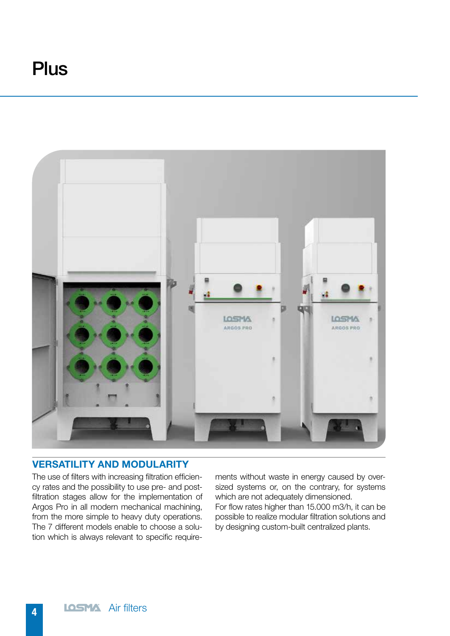## **Plus**



#### VERSATILITY AND MODULARITY

The use of filters with increasing filtration efficiency rates and the possibility to use pre- and postfiltration stages allow for the implementation of Argos Pro in all modern mechanical machining, from the more simple to heavy duty operations. The 7 different models enable to choose a solution which is always relevant to specific requirements without waste in energy caused by oversized systems or, on the contrary, for systems which are not adequately dimensioned.

For flow rates higher than 15.000 m3/h, it can be possible to realize modular filtration solutions and by designing custom-built centralized plants.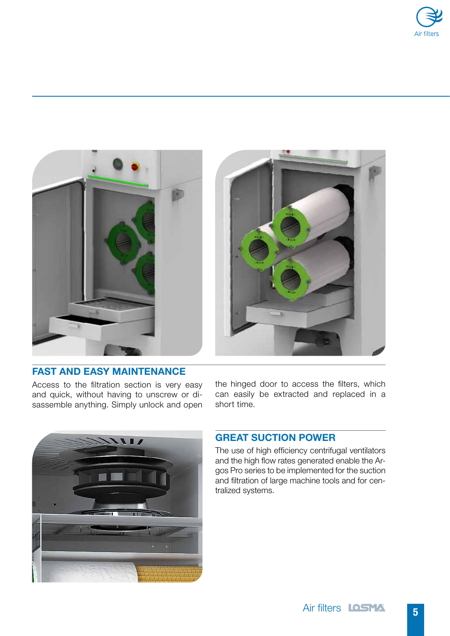





#### FAST AND EASY MAINTENANCE

Access to the filtration section is very easy and quick, without having to unscrew or disassemble anything. Simply unlock and open the hinged door to access the filters, which can easily be extracted and replaced in a short time.



### GREAT SUCTION POWER

The use of high efficiency centrifugal ventilators and the high flow rates generated enable the Argos Pro series to be implemented for the suction and filtration of large machine tools and for centralized systems.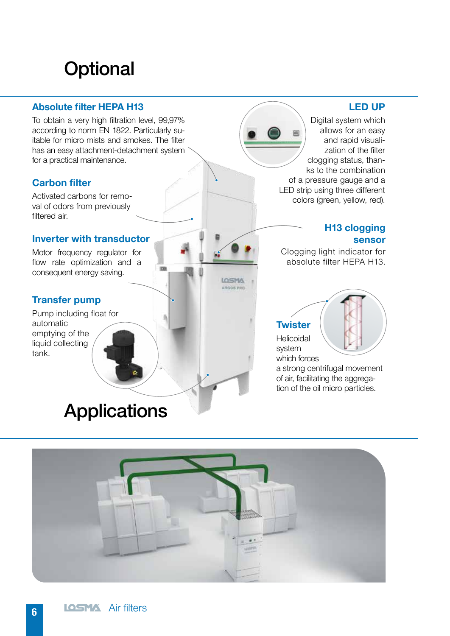# **Optional**

### Absolute filter HEPA H13

To obtain a very high filtration level, 99,97% according to norm EN 1822. Particularly suitable for micro mists and smokes. The filter has an easy attachment-detachment system for a practical maintenance.

## Carbon filter

Activated carbons for removal of odors from previously filtered air.

#### Inverter with transductor

Motor frequency regulator for flow rate optimization and a consequent energy saving.

#### Transfer pump

Pump including float for automatic emptying of the liquid collecting tank.

## LED UP

Digital system which allows for an easy and rapid visualization of the filter clogging status, thanks to the combination of a pressure gauge and a LED strip using three different colors (green, yellow, red).

#### H13 clogging sensor

Clogging light indicator for absolute filter HEPA H13.

## **Twister**

**LOSMA** ARGOS PRO

> Helicoidal system which forces

a strong centrifugal movement of air, facilitating the aggregation of the oil micro particles.

# **Applications**

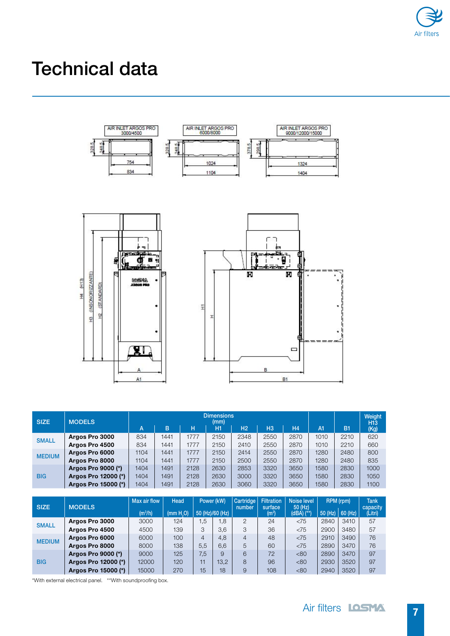

# Technical data



| <b>SIZE</b>   | <b>MODELS</b>       | <b>Dimensions</b><br>(mm) |      |      |      |                |                |      |      |                | Weight<br>H <sub>13</sub> |
|---------------|---------------------|---------------------------|------|------|------|----------------|----------------|------|------|----------------|---------------------------|
|               |                     | А                         | B    | н    | H1   | H <sub>2</sub> | H <sub>3</sub> | H4   | A1   | B <sub>1</sub> | (Kg)                      |
| <b>SMALL</b>  | Argos Pro 3000      | 834                       | 1441 | 1777 | 2150 | 2348           | 2550           | 2870 | 1010 | 2210           | 620                       |
|               | Argos Pro 4500      | 834                       | 1441 | 1777 | 2150 | 2410           | 2550           | 2870 | 1010 | 2210           | 660                       |
| <b>MEDIUM</b> | Argos Pro 6000      | 1104                      | 1441 | 1777 | 2150 | 2414           | 2550           | 2870 | 1280 | 2480           | 800                       |
|               | Argos Pro 8000      | 1104                      | 1441 | 1777 | 2150 | 2500           | 2550           | 2870 | 1280 | 2480           | 835                       |
| <b>BIG</b>    | Argos Pro 9000 (*)  | 1404                      | 1491 | 2128 | 2630 | 2853           | 3320           | 3650 | 1580 | 2830           | 1000                      |
|               | Argos Pro 12000 (*) | 1404                      | 1491 | 2128 | 2630 | 3000           | 3320           | 3650 | 1580 | 2830           | 1050                      |
|               | Argos Pro 15000 (*) | 1404                      | 1491 | 2128 | 2630 | 3060           | 3320           | 3650 | 1580 | 2830           | 1100                      |

| <b>SIZE</b>   | <b>MODELS</b>       | Max air flow<br>(m <sup>3</sup> /h) | Head<br>Power (kW)<br>50 (Hz)/60 (Hz)<br>(mm H <sub>0</sub> ) |                | Cartridge<br>number | <b>Filtration</b><br>surface<br>(m <sup>2</sup> ) | Noise level<br>50 (Hz)<br>$(dBA)$ $(**)$ | RPM (rpm)<br>$50$ (Hz)   60 (Hz) |             | <b>Tank</b><br>capacity<br>(Litri) |    |
|---------------|---------------------|-------------------------------------|---------------------------------------------------------------|----------------|---------------------|---------------------------------------------------|------------------------------------------|----------------------------------|-------------|------------------------------------|----|
| <b>SMALL</b>  | Argos Pro 3000      | 3000                                | 124                                                           | .5             | 1,8                 | 2                                                 | 24                                       | < 75                             | 2840        | 3410                               | 57 |
|               | Argos Pro 4500      | 4500                                | 139                                                           | 3              | 3.6                 | 3                                                 | 36                                       | < 75                             | <b>2900</b> | 3480                               | 57 |
| <b>MEDIUM</b> | Argos Pro 6000      | 6000                                | 100                                                           | $\overline{4}$ | 4,8                 | 4                                                 | 48                                       | < 75                             | 2910        | 3490                               | 76 |
|               | Argos Pro 8000      | 8000                                | 138                                                           | 5.5            | 6.6                 | 5                                                 | 60                                       | < 75                             | 2890        | 3470                               | 76 |
| <b>BIG</b>    | Argos Pro 9000 (*)  | 9000                                | 125                                                           | 7.5            | 9                   | 6                                                 | 72                                       | <80                              | <b>2890</b> | 3470                               | 97 |
|               | Argos Pro 12000 (*) | 12000                               | 120                                                           | 11             | 13,2                | 8                                                 | 96                                       | <80                              | 2930        | 3520                               | 97 |
|               | Argos Pro 15000 (*) | 15000                               | 270                                                           | 15             | 18                  | 9                                                 | 108                                      | <80                              | 2940        | 3520                               | 97 |

\*With external electrical panel. \*\*With soundproofing box.